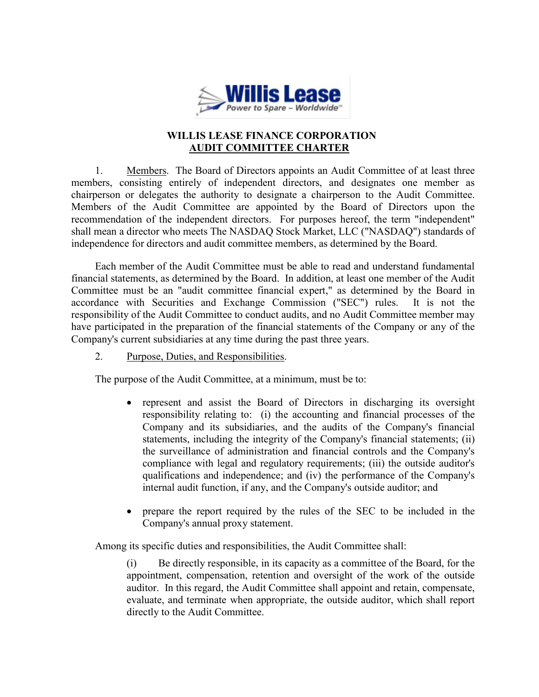

## WILLIS LEASE FINANCE CORPORATION AUDIT COMMITTEE CHARTER

1. Members. The Board of Directors appoints an Audit Committee of at least three members, consisting entirely of independent directors, and designates one member as chairperson or delegates the authority to designate a chairperson to the Audit Committee. Members of the Audit Committee are appointed by the Board of Directors upon the recommendation of the independent directors. For purposes hereof, the term "independent" shall mean a director who meets The NASDAQ Stock Market, LLC ("NASDAQ") standards of independence for directors and audit committee members, as determined by the Board.

Each member of the Audit Committee must be able to read and understand fundamental financial statements, as determined by the Board. In addition, at least one member of the Audit Committee must be an "audit committee financial expert," as determined by the Board in accordance with Securities and Exchange Commission ("SEC") rules. It is not the responsibility of the Audit Committee to conduct audits, and no Audit Committee member may have participated in the preparation of the financial statements of the Company or any of the Company's current subsidiaries at any time during the past three years.

## 2. Purpose, Duties, and Responsibilities.

The purpose of the Audit Committee, at a minimum, must be to:

- represent and assist the Board of Directors in discharging its oversight responsibility relating to: (i) the accounting and financial processes of the Company and its subsidiaries, and the audits of the Company's financial statements, including the integrity of the Company's financial statements; (ii) the surveillance of administration and financial controls and the Company's compliance with legal and regulatory requirements; (iii) the outside auditor's qualifications and independence; and (iv) the performance of the Company's internal audit function, if any, and the Company's outside auditor; and
- prepare the report required by the rules of the SEC to be included in the Company's annual proxy statement.

Among its specific duties and responsibilities, the Audit Committee shall:

(i) Be directly responsible, in its capacity as a committee of the Board, for the appointment, compensation, retention and oversight of the work of the outside auditor. In this regard, the Audit Committee shall appoint and retain, compensate, evaluate, and terminate when appropriate, the outside auditor, which shall report directly to the Audit Committee.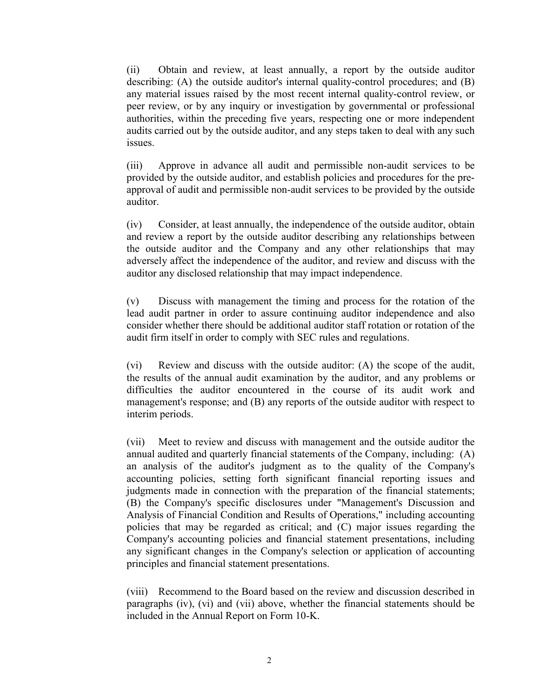(ii) Obtain and review, at least annually, a report by the outside auditor describing: (A) the outside auditor's internal quality-control procedures; and (B) any material issues raised by the most recent internal quality-control review, or peer review, or by any inquiry or investigation by governmental or professional authorities, within the preceding five years, respecting one or more independent audits carried out by the outside auditor, and any steps taken to deal with any such issues.

(iii) Approve in advance all audit and permissible non-audit services to be provided by the outside auditor, and establish policies and procedures for the preapproval of audit and permissible non-audit services to be provided by the outside auditor.

(iv) Consider, at least annually, the independence of the outside auditor, obtain and review a report by the outside auditor describing any relationships between the outside auditor and the Company and any other relationships that may adversely affect the independence of the auditor, and review and discuss with the auditor any disclosed relationship that may impact independence.

(v) Discuss with management the timing and process for the rotation of the lead audit partner in order to assure continuing auditor independence and also consider whether there should be additional auditor staff rotation or rotation of the audit firm itself in order to comply with SEC rules and regulations.

(vi) Review and discuss with the outside auditor: (A) the scope of the audit, the results of the annual audit examination by the auditor, and any problems or difficulties the auditor encountered in the course of its audit work and management's response; and (B) any reports of the outside auditor with respect to interim periods.

(vii) Meet to review and discuss with management and the outside auditor the annual audited and quarterly financial statements of the Company, including: (A) an analysis of the auditor's judgment as to the quality of the Company's accounting policies, setting forth significant financial reporting issues and judgments made in connection with the preparation of the financial statements; (B) the Company's specific disclosures under "Management's Discussion and Analysis of Financial Condition and Results of Operations," including accounting policies that may be regarded as critical; and (C) major issues regarding the Company's accounting policies and financial statement presentations, including any significant changes in the Company's selection or application of accounting principles and financial statement presentations.

(viii) Recommend to the Board based on the review and discussion described in paragraphs (iv), (vi) and (vii) above, whether the financial statements should be included in the Annual Report on Form 10-K.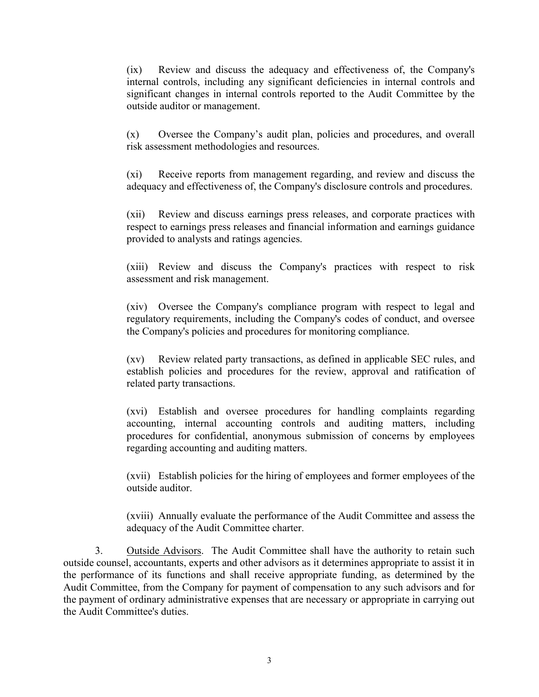(ix) Review and discuss the adequacy and effectiveness of, the Company's internal controls, including any significant deficiencies in internal controls and significant changes in internal controls reported to the Audit Committee by the outside auditor or management.

(x) Oversee the Company's audit plan, policies and procedures, and overall risk assessment methodologies and resources.

(xi) Receive reports from management regarding, and review and discuss the adequacy and effectiveness of, the Company's disclosure controls and procedures.

(xii) Review and discuss earnings press releases, and corporate practices with respect to earnings press releases and financial information and earnings guidance provided to analysts and ratings agencies.

(xiii) Review and discuss the Company's practices with respect to risk assessment and risk management.

(xiv) Oversee the Company's compliance program with respect to legal and regulatory requirements, including the Company's codes of conduct, and oversee the Company's policies and procedures for monitoring compliance.

(xv) Review related party transactions, as defined in applicable SEC rules, and establish policies and procedures for the review, approval and ratification of related party transactions.

(xvi) Establish and oversee procedures for handling complaints regarding accounting, internal accounting controls and auditing matters, including procedures for confidential, anonymous submission of concerns by employees regarding accounting and auditing matters.

(xvii) Establish policies for the hiring of employees and former employees of the outside auditor.

(xviii) Annually evaluate the performance of the Audit Committee and assess the adequacy of the Audit Committee charter.

3. Outside Advisors. The Audit Committee shall have the authority to retain such outside counsel, accountants, experts and other advisors as it determines appropriate to assist it in the performance of its functions and shall receive appropriate funding, as determined by the Audit Committee, from the Company for payment of compensation to any such advisors and for the payment of ordinary administrative expenses that are necessary or appropriate in carrying out the Audit Committee's duties.